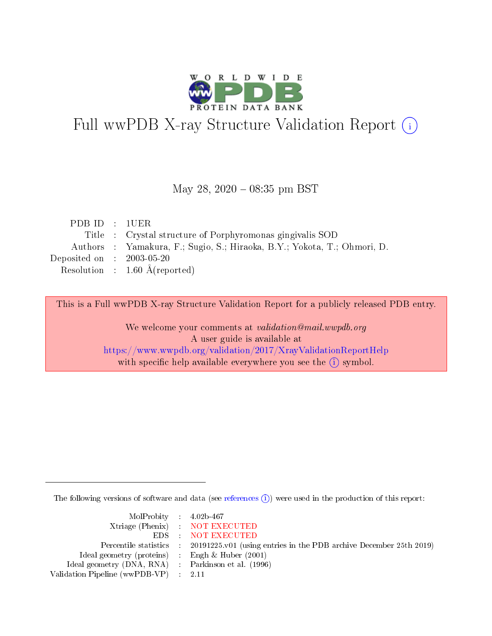

# Full wwPDB X-ray Structure Validation Report (i)

#### May 28, 2020 - 08:35 pm BST

|  | Title : Crystal structure of Porphyromonas gingivalis SOD               |
|--|-------------------------------------------------------------------------|
|  | Authors: Yamakura, F.; Sugio, S.; Hiraoka, B.Y.; Yokota, T.; Ohmori, D. |
|  | Deposited on : $2003-05-20$                                             |
|  | Resolution : $1.60 \text{ Å}$ (reported)                                |
|  | PDB ID: 1UER                                                            |

This is a Full wwPDB X-ray Structure Validation Report for a publicly released PDB entry.

We welcome your comments at validation@mail.wwpdb.org A user guide is available at <https://www.wwpdb.org/validation/2017/XrayValidationReportHelp> with specific help available everywhere you see the  $(i)$  symbol.

The following versions of software and data (see [references](https://www.wwpdb.org/validation/2017/XrayValidationReportHelp#references)  $\overline{(1)}$ ) were used in the production of this report:

| $MolProbability$ 4.02b-467                          |                                                                                            |
|-----------------------------------------------------|--------------------------------------------------------------------------------------------|
|                                                     | Xtriage (Phenix) NOT EXECUTED                                                              |
|                                                     | EDS NOT EXECUTED                                                                           |
|                                                     | Percentile statistics : 20191225.v01 (using entries in the PDB archive December 25th 2019) |
| Ideal geometry (proteins) :                         | Engh & Huber $(2001)$                                                                      |
| Ideal geometry (DNA, RNA) : Parkinson et al. (1996) |                                                                                            |
| Validation Pipeline (wwPDB-VP) : 2.11               |                                                                                            |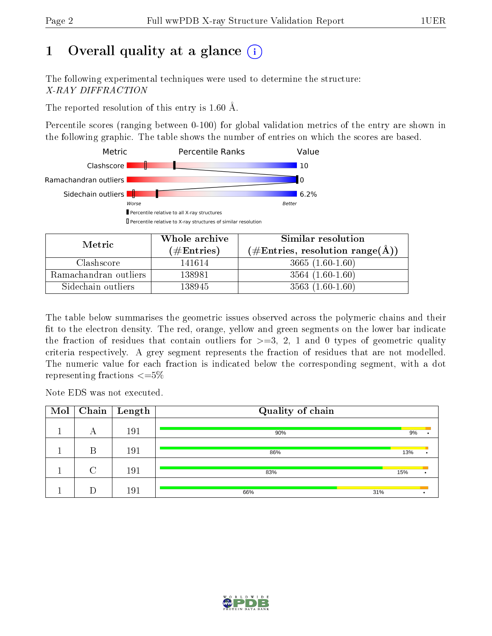## 1 [O](https://www.wwpdb.org/validation/2017/XrayValidationReportHelp#overall_quality)verall quality at a glance  $(i)$

The following experimental techniques were used to determine the structure: X-RAY DIFFRACTION

The reported resolution of this entry is 1.60 Å.

Percentile scores (ranging between 0-100) for global validation metrics of the entry are shown in the following graphic. The table shows the number of entries on which the scores are based.



| Metric                | Whole archive       | Similar resolution                                        |  |  |
|-----------------------|---------------------|-----------------------------------------------------------|--|--|
|                       | (# $\rm{Entries}$ ) | $(\#\text{Entries}, \text{resolution range}(\text{\AA}))$ |  |  |
| Clashscore            | 141614              | $3665(1.60-1.60)$                                         |  |  |
| Ramachandran outliers | 138981              | $3564(1.60-1.60)$                                         |  |  |
| Sidechain outliers    | 138945              | $3563(1.60-1.60)$                                         |  |  |

The table below summarises the geometric issues observed across the polymeric chains and their fit to the electron density. The red, orange, yellow and green segments on the lower bar indicate the fraction of residues that contain outliers for  $\geq=3$ , 2, 1 and 0 types of geometric quality criteria respectively. A grey segment represents the fraction of residues that are not modelled. The numeric value for each fraction is indicated below the corresponding segment, with a dot representing fractions  $\leq=5\%$ 

Note EDS was not executed.

| Mol | Chain  | $\vert$ Length | Quality of chain |     |  |
|-----|--------|----------------|------------------|-----|--|
|     | А      | 191            | 90%              | 9%  |  |
|     | B      | 191            | 86%              | 13% |  |
|     | $\cap$ | 191            | 83%              | 15% |  |
|     |        | 191            | 31%<br>66%       |     |  |

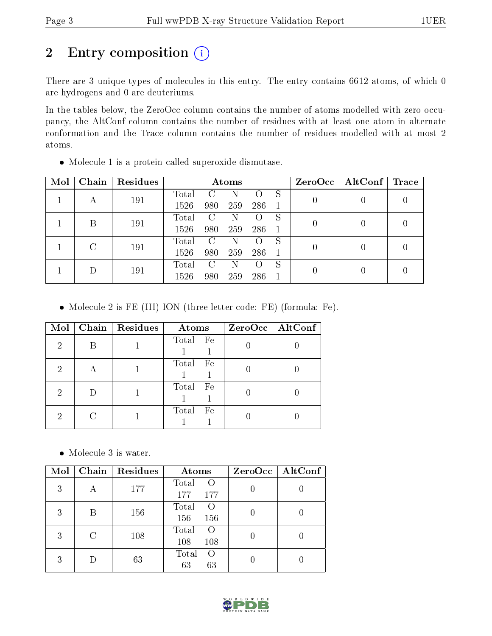## 2 Entry composition (i)

There are 3 unique types of molecules in this entry. The entry contains 6612 atoms, of which 0 are hydrogens and 0 are deuteriums.

In the tables below, the ZeroOcc column contains the number of atoms modelled with zero occupancy, the AltConf column contains the number of residues with at least one atom in alternate conformation and the Trace column contains the number of residues modelled with at most 2 atoms.

| Mol | Chain | Residues | Atoms |                        |     |     |   |  | $ZeroOcc \mid AltConf \mid$ | Trace |
|-----|-------|----------|-------|------------------------|-----|-----|---|--|-----------------------------|-------|
|     | А     | 191      | Total | $\left( \cdot \right)$ | N   |     | S |  |                             |       |
|     |       |          | 1526  | 980                    | 259 | 286 |   |  |                             |       |
|     | В     | 191      | Total | C                      | Ν   |     | S |  |                             |       |
|     |       |          | 1526  | 980                    | 259 | 286 |   |  |                             |       |
|     |       | 191      | Total | C                      | Ν   |     | S |  |                             |       |
|     |       |          | 1526  | 980                    | 259 | 286 |   |  |                             |       |
|     |       | 191      | Total | C                      | Ν   |     | S |  |                             |       |
|     |       | 1526     | 980   | 259                    | 286 |     |   |  |                             |       |

Molecule 1 is a protein called superoxide dismutase.

Molecule 2 is FE (III) ION (three-letter code: FE) (formula: Fe).

| Mol | Chain   Residues | Atoms       | ZeroOcc   AltConf |
|-----|------------------|-------------|-------------------|
| 2   |                  | Total Fe    |                   |
| 2   |                  | Total Fe    |                   |
| 2   |                  | Total Fe    |                   |
| 2   |                  | Total<br>Fe |                   |

Molecule 3 is water.

| Mol |   | Chain   Residues | Atoms                                   | ZeroOcc   AltConf |
|-----|---|------------------|-----------------------------------------|-------------------|
| 3   | А | 177              | Total<br>$\Omega$<br>177<br>177         |                   |
| 3   | В | 156              | Total<br>$\left( \right)$<br>156<br>156 |                   |
| 3   | C | 108              | Total<br>$\left( \right)$<br>108<br>108 |                   |
| 3   |   | 63               | Total<br>$\left( \right)$<br>63<br>63   |                   |

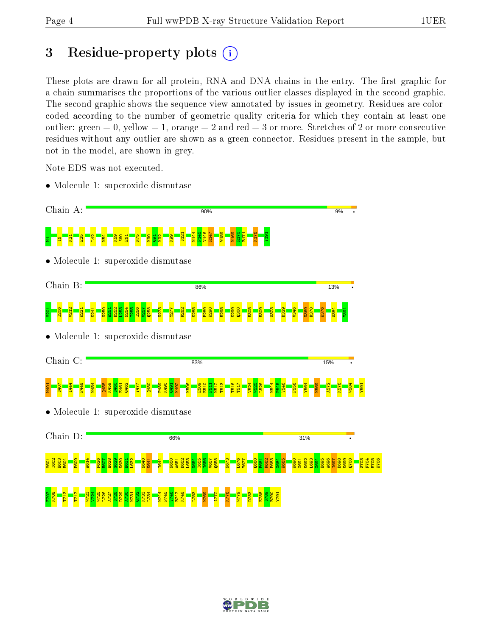### 3 Residue-property plots  $(i)$

These plots are drawn for all protein, RNA and DNA chains in the entry. The first graphic for a chain summarises the proportions of the various outlier classes displayed in the second graphic. The second graphic shows the sequence view annotated by issues in geometry. Residues are colorcoded according to the number of geometric quality criteria for which they contain at least one outlier: green  $= 0$ , yellow  $= 1$ , orange  $= 2$  and red  $= 3$  or more. Stretches of 2 or more consecutive residues without any outlier are shown as a green connector. Residues present in the sample, but not in the model, are shown in grey.

Note EDS was not executed.

• Molecule 1: superoxide dismutase



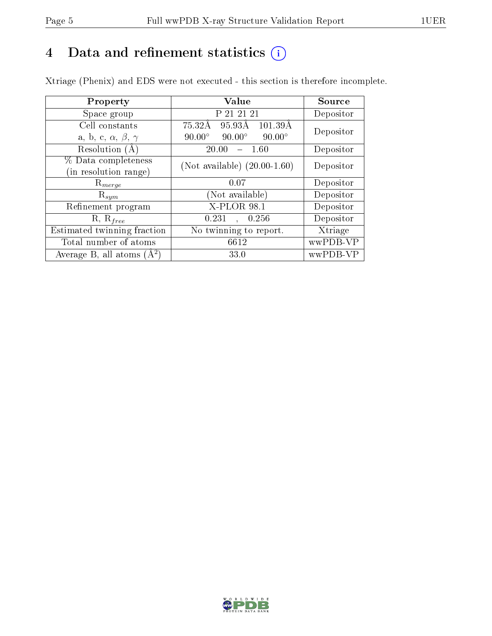## 4 Data and refinement statistics  $(i)$

Xtriage (Phenix) and EDS were not executed - this section is therefore incomplete.

| Property                               | <b>Value</b>                                    | Source    |
|----------------------------------------|-------------------------------------------------|-----------|
| Space group                            | P 21 21 21                                      | Depositor |
| Cell constants                         | 95.93Å<br>75.32Å<br>$101.39\text{\AA}$          | Depositor |
| a, b, c, $\alpha$ , $\beta$ , $\gamma$ | $90.00^\circ$<br>$90.00^\circ$<br>$90.00^\circ$ |           |
| Resolution $(A)$                       | 20.00<br>1.60                                   | Depositor |
| % Data completeness                    | (Not available) $(20.00-1.60)$                  | Depositor |
| in resolution range)                   |                                                 |           |
| $\mathrm{R}_{merge}$                   | 0.07                                            | Depositor |
| $\mathrm{R}_{sym}$                     | (Not available)                                 | Depositor |
| Refinement program                     | X-PLOR 98.1                                     | Depositor |
| $R, R_{free}$                          | 0.231<br>0.256                                  | Depositor |
| Estimated twinning fraction            | No twinning to report.                          | Xtriage   |
| Total number of atoms                  | 6612                                            | wwPDB-VP  |
| Average B, all atoms $(A^2)$           | 33.0                                            | wwPDB-VP  |

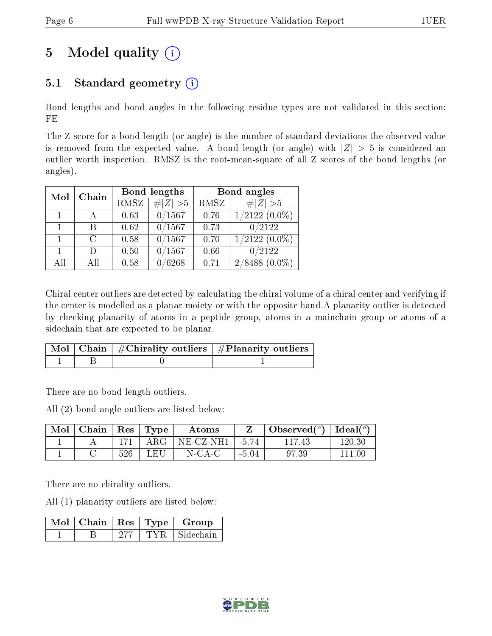## 5 Model quality  $(i)$

### 5.1 Standard geometry  $(i)$

Bond lengths and bond angles in the following residue types are not validated in this section: FE

The Z score for a bond length (or angle) is the number of standard deviations the observed value is removed from the expected value. A bond length (or angle) with  $|Z| > 5$  is considered an outlier worth inspection. RMSZ is the root-mean-square of all Z scores of the bond lengths (or angles).

| Mol | Chain  |      | Bond lengths | Bond angles |                     |  |
|-----|--------|------|--------------|-------------|---------------------|--|
|     |        | RMSZ | $\# Z  > 5$  | RMSZ        | # $ Z >5$           |  |
|     |        | 0.63 | 0/1567       | 0.76        | $1/2122(0.0\%)$     |  |
|     | R      | 0.62 | 0/1567       | 0.73        | 0/2122              |  |
|     | $\cap$ | 0.58 | 0/1567       | 0.70        | $1/2122(0.0\%)$     |  |
|     | I١     | 0.50 | 0/1567       | 0.66        | 0/2122              |  |
| AĦ  | Αll    | 0.58 | 0/6268       | 0.71        | 2/8488<br>$(0.0\%)$ |  |

Chiral center outliers are detected by calculating the chiral volume of a chiral center and verifying if the center is modelled as a planar moiety or with the opposite hand.A planarity outlier is detected by checking planarity of atoms in a peptide group, atoms in a mainchain group or atoms of a sidechain that are expected to be planar.

|  | Mol   Chain   $\#\text{Chirality outliers}$   $\#\text{Planarity outliers}$ ' |
|--|-------------------------------------------------------------------------------|
|  |                                                                               |

There are no bond length outliers.

All (2) bond angle outliers are listed below:

| Mol | Chain |     | $\vert$ Res $\vert$ Type | Atoms        |         | Observed $(^\circ)$ | Ideal $({}^o)$ |
|-----|-------|-----|--------------------------|--------------|---------|---------------------|----------------|
|     |       |     | ${\rm ARG}$              | $NE- CZ-NH1$ | $-5.74$ |                     | $120.30\,$     |
|     |       | 526 | LEU                      | $N$ -CA-C    | $-5.04$ | 97.39               |                |

There are no chirality outliers.

All (1) planarity outliers are listed below:

|  |      | $\blacksquare$ Mol $\vert$ Chain $\vert$ Res $\vert$ Type $\vert$ Group |
|--|------|-------------------------------------------------------------------------|
|  | TYR. | Sidechain                                                               |

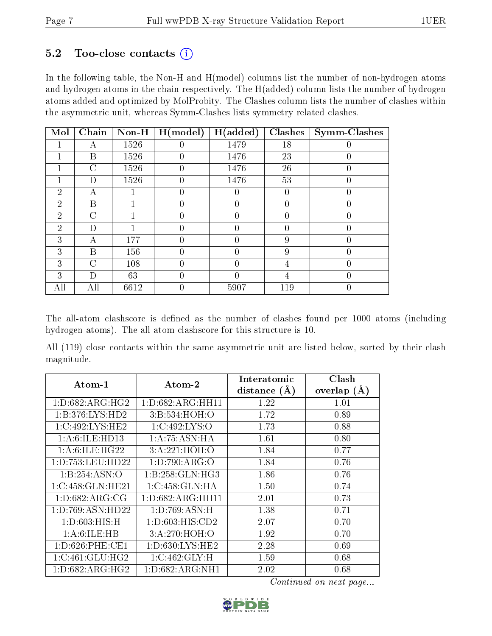#### 5.2 Too-close contacts  $(i)$

In the following table, the Non-H and H(model) columns list the number of non-hydrogen atoms and hydrogen atoms in the chain respectively. The H(added) column lists the number of hydrogen atoms added and optimized by MolProbity. The Clashes column lists the number of clashes within the asymmetric unit, whereas Symm-Clashes lists symmetry related clashes.

| Mol            | Chain          | $Non-H$ | H (model) | $(\mathrm{added})$<br>н | Clashes | <b>Symm-Clashes</b> |
|----------------|----------------|---------|-----------|-------------------------|---------|---------------------|
|                | А              | 1526    |           | 1479                    | 18      |                     |
|                | B              | 1526    | 0         | 1476                    | 23      | 0                   |
|                | $\mathcal{C}$  | 1526    | $\theta$  | 1476                    | 26      | $\overline{0}$      |
|                | D              | 1526    | 0         | 1476                    | 53      | 0                   |
| $\overline{2}$ | А              |         | 0         |                         | 0       | 0                   |
| $\overline{2}$ | B              |         | $\theta$  | 0                       | 0       | $\overline{0}$      |
| $\overline{2}$ | $\overline{C}$ |         | 0         | 0                       | 0       | 0                   |
| $\overline{2}$ | D              |         | 0         |                         |         |                     |
| 3              | А              | 177     | 0         |                         | 9       | $\theta$            |
| 3              | B              | 156     | $\theta$  | 0                       | 9       | $\theta$            |
| 3              | $\overline{C}$ | 108     | 0         |                         | 4       | 0                   |
| 3              | D              | 63      | 0         |                         | 4       | 0                   |
| All            | All            | 6612    | 0         | 5907                    | 119     | $\overline{0}$      |

The all-atom clashscore is defined as the number of clashes found per 1000 atoms (including hydrogen atoms). The all-atom clashscore for this structure is 10.

All (119) close contacts within the same asymmetric unit are listed below, sorted by their clash magnitude.

| Atom-1             | $\boldsymbol{\mathrm{Atom}\text{-}2}$ | Interatomic<br>distance $(A)$ | Clash<br>overlap $(A)$ |
|--------------------|---------------------------------------|-------------------------------|------------------------|
| 1: D:682: ARG:HG2  | 1: D: 682: ARG: HH11                  | 1.22                          | 1.01                   |
| 1:B:376:LYS:HD2    | 3:B:534:HOH:O                         | 1.72                          | 0.89                   |
| 1:C:492:LYS:HE2    | 1:C:492:LYS:O                         | 1.73                          | 0.88                   |
| 1: A:6: ILE: HD13  | 1:A:75:ASN:HA                         | 1.61                          | 0.80                   |
| 1: A:6: ILE: HG22  | 3:A:221:HOH:O                         | 1.84                          | 0.77                   |
| 1:D:753:LEU:HD22   | 1: D: 790: ARG: O                     | 1.84                          | 0.76                   |
| 1:B:254:ASN:O      | 1:B:258:GLN:HG3                       | 1.86                          | 0.76                   |
| 1:C:458:GLN:HE21   | 1:C:458:GLN:HA                        | 1.50                          | 0.74                   |
| 1:D:682:ARG:CG     | 1: D: 682: ARG: HH11                  | 2.01                          | 0.73                   |
| 1:D:769:ASN:HD22   | 1:D:769:ASN:H                         | 1.38                          | 0.71                   |
| 1: D:603: HIS:H    | 1: D:603: HIS:CD2                     | 2.07                          | 0.70                   |
| 1: A:6: ILE: HB    | 3:A:270:HOH:O                         | 1.92                          | 0.70                   |
| 1: D:626: PHE:CE1  | 1: D: 630: LYS: HE2                   | 2.28                          | 0.69                   |
| 1:C:461:GLU:HG2    | 1:C:462:GLY:H                         | 1.59                          | 0.68                   |
| 1: D:682: ARG: HG2 | 1: D:682: ARG: NH1                    | 2.02                          | 0.68                   |

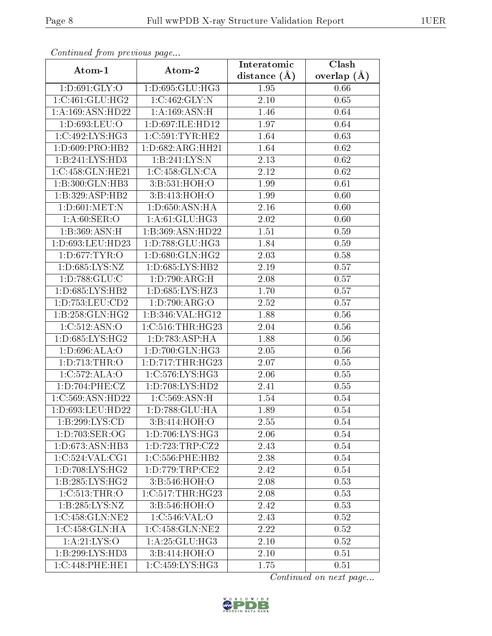| Continuea from previous page     |                      | Interatomic      | Clash             |  |
|----------------------------------|----------------------|------------------|-------------------|--|
| Atom-1                           | Atom-2               | distance $(\AA)$ | overlap $(A)$     |  |
| 1: D:691: GLY:O                  | 1:D:695:GLU:HG3      | 1.95             | 0.66              |  |
| 1:C:461:GLU:HG2                  | 1:C:462:GLY:N        | $2.10\,$         | 0.65              |  |
| 1:A:169:ASN:HD22                 | 1: A:169: ASN:H      | 1.46             | 0.64              |  |
| 1:D:693:LEU:O                    | 1:D:697:ILE:HD12     | 1.97             | 0.64              |  |
| 1:C:492:LYS:HG3                  | 1:C:591:TYR:HE2      | 1.64             | 0.63              |  |
| 1:D:609:PRO:HB2                  | 1:D:682:ARG:HH21     | 1.64             | 0.62              |  |
| 1:B:241:LYS:HD3                  | 1:B:241:LYS:N        | 2.13             | 0.62              |  |
| 1:C:458:GLN:HE21                 | 1:C:458:GLN:CA       | 2.12             | 0.62              |  |
| 1:B:300:GLN:HB3                  | 3:B:531:HOH:O        | 1.99             | 0.61              |  |
| 1:B:329:ASP:HB2                  | 3:B:413:HOH:O        | 1.99             | 0.60              |  |
| 1: D:601: MET: N                 | 1: D:650: ASN: HA    | $2.16\,$         | 0.60              |  |
| 1: A:60: SER:O                   | 1: A:61: GLU: HG3    | 2.02             | 0.60              |  |
| 1:B:369:ASN:H                    | 1:B:369:ASN:HD22     | 1.51             | 0.59              |  |
| 1:D:693:LEU:HD23                 | 1:D:788:GLU:HG3      | 1.84             | 0.59              |  |
| 1:D:677:TYR:O                    | 1:D:680:GLN:HG2      | 2.03             | 0.58              |  |
| 1:D:685:LYS:NZ                   | 1: D:685: LYS: HB2   | 2.19             | 0.57              |  |
| 1: D: 788: GLU: C                | 1: D: 790: ARG:H     | 2.08             | 0.57              |  |
| 1: D: 685: LYS: HB2              | 1:D:685:LYS:HZ3      | 1.70             | 0.57              |  |
| $1: D: 753: LEU: \overline{CD2}$ | 1:D:790:ARG:O        | 2.52             | 0.57              |  |
| $1:B:258:GLN:H\overline{G2}$     | 1:B:346:VAL:HG12     | 1.88             | 0.56              |  |
| 1:C:512:ASN:O                    | 1: C:516: THR: HG23  | 2.04             | 0.56              |  |
| 1: D:685: LYS: HG2               | 1:D:783:ASP:HA       | 1.88             | 0.56              |  |
| 1:D:696:ALA:O                    | 1: D:700: GLN: HG3   | 2.05             | 0.56              |  |
| 1:D:713:THR:O                    | 1: D: 717: THR: HG23 | 2.07             | 0.55              |  |
| 1:C:572:ALA:O                    | 1:C:576:LYS:HG3      | 2.06             | 0.55              |  |
| 1: D:704: PHE: CZ                | 1: D: 708: LYS: HD2  | 2.41             | 0.55              |  |
| 1:C:569:ASN:HD22                 | 1:C:569:ASN:H        | 1.54             | 0.54              |  |
| 1:D:693:LEU:HD22                 | 1:D:788:GLU:HA       | 1.89             | $\overline{0.54}$ |  |
| 1:B:299:LYS:CD                   | 3:B:414:HOH:O        | 2.55             | 0.54              |  |
| 1:D:703:SER:OG                   | 1: D:706: LYS: HG3   | 2.06             | 0.54              |  |
| 1: D: 673: ASN: HB3              | 1: D: 723: TRP: CZ2  | 2.43             | 0.54              |  |
| 1:C:524:VAL:CG1                  | 1:C:556:PHE:HB2      | 2.38             | 0.54              |  |
| 1: D:708: LYS: HG2               | 1:D:779:TRP:CE2      | 2.42             | 0.54              |  |
| 1:B:285:LYS:HG2                  | 3: B:546: HOH:O      | 2.08             | 0.53              |  |
| 1:C:513:THR:O                    | 1:C:517:THR:HG23     | 2.08             | 0.53              |  |
| 1:B:285:LYS:NZ                   | 3:B:546:HOH:O        | 2.42             | 0.53              |  |
| 1:C:458:GLN:NE2                  | 1:C:546:VAL:O        | 2.43             | 0.52              |  |
| 1:C:458:GLN:HA                   | 1:C:458:GLN:NE2      | 2.22             | 0.52              |  |
| 1: A:21: LYS:O                   | 1: A:25: GLU:HG3     | 2.10             | 0.52              |  |
| 1:B:299:LYS:HD3                  | 3:B:414:HOH:O        | 2.10             | 0.51              |  |
| 1:C:448:PHE:HE1                  | 1:C:459:LYS:HG3      | 1.75             | 0.51              |  |

Continued from previous page.

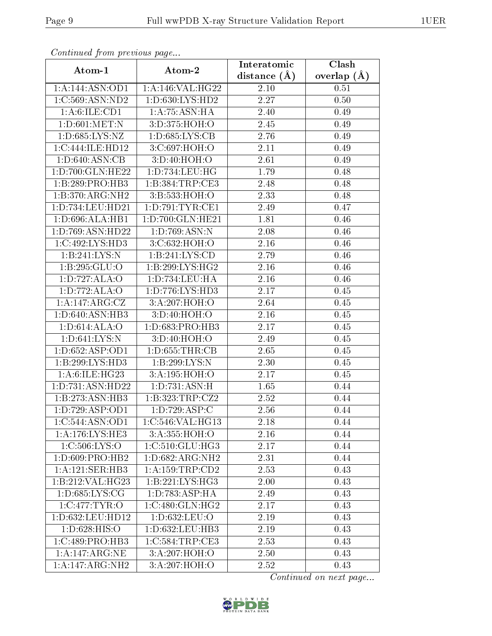| Continuatu jibin prototos pago       |                              | Interatomic       | $\overline{\text{Clash}}$ |
|--------------------------------------|------------------------------|-------------------|---------------------------|
| Atom-1                               | Atom-2                       | distance $(\AA)$  | overlap $(\AA)$           |
| 1:A:144:ASN:OD1                      | 1:A:146:VAL:HG22             | 2.10              | 0.51                      |
| 1:C:569:ASN:ND2                      | 1:D:630:LYS:HD2              | $\overline{2.27}$ | 0.50                      |
| 1: A:6: ILE: CD1                     | 1:A:75:ASN:HA                | 2.40              | 0.49                      |
| 1: D:601: MET: N                     | 3:D:375:HOH:O                | 2.45              | 0.49                      |
| 1: D: 685: LYS: NZ                   | 1: D:685: LYS: CB            | 2.76              | 0.49                      |
| 1:C:444:ILE:HD12                     | 3:C:697:HOH:O                | 2.11              | 0.49                      |
| 1: D:640: ASN:CB                     | 3:D:40:HOH:O                 | 2.61              | 0.49                      |
| 1:D:700:GLN:HE22                     | 1:D:734:LEU:HG               | 1.79              | 0.48                      |
| 1:B:289:PRO:HB3                      | 1:B:384:TRP:CE3              | $\overline{2}.48$ | 0.48                      |
| 1:B:370:ARG:NH2                      | 3:B:533:HOH:O                | 2.33              | 0.48                      |
| 1:D:734:LEU:HD21                     | 1: D:791: TYR: CE1           | 2.49              | 0.47                      |
| 1: D:696: ALA:HB1                    | 1:D:700:GLN:HE21             | 1.81              | 0.46                      |
| 1:D:769:ASN:HD22                     | 1:D:769:ASN:N                | 2.08              | 0.46                      |
| 1:C:492:LYS:HD3                      | 3:C:632:HOH:O                | 2.16              | 0.46                      |
| 1:B:241:LYS:N                        | 1:B:241:LYS:CD               | 2.79              | 0.46                      |
| 1:B:295:GLU:O                        | 1:B:299:LYS:HG2              | 2.16              | 0.46                      |
| 1: D: 727: ALA: O                    | 1:D:734:LEU:HA               | 2.16              | 0.46                      |
| 1:D:772:ALA:O                        | 1: D: 776: LYS: HD3          | 2.17              | 0.45                      |
| 1:A:147:ARG:CZ                       | 3:A:207:HOH:O                | 2.64              | 0.45                      |
| 1:D:640:ASN:HB3                      | 3:D:40:HOH:O                 | 2.16              | 0.45                      |
| 1: D:614: ALA:O                      | 1:D:683:PRO:HB3              | 2.17              | 0.45                      |
| 1: D:641: LYS: N                     | 3:D:40:HOH:O                 | 2.49              | 0.45                      |
| 1: D: 652: ASP: OD1                  | 1: D: 655: THR: CB           | 2.65              | 0.45                      |
| 1:B:299:LYS:HD3                      | 1:B:299:LYS:N                | 2.30              | 0.45                      |
| 1: A:6: ILE: HG23                    | 3:A:195:HOH:O                | 2.17              | 0.45                      |
| 1:D:731:ASN:HD22                     | 1:D:731:ASN:H                | 1.65              | 0.44                      |
| 1:B:273:ASN:HB3                      | 1:B:323:TRP:CZ2              | 2.52              | 0.44                      |
| 1: D: 729: ASP: OD1                  | 1: D: 729: ASP: C            | 2.56              | 0.44                      |
| $1:C:544: \overline{\text{ASN:OD1}}$ | 1:C:546:VAL:HG13             | 2.18              | 0.44                      |
| 1: A:176: LYS: HE3                   | 3:A:355:HOH:0                | 2.16              | 0.44                      |
| 1: C:506: LYS:O                      | 1:C:510:GLU:HG3              | 2.17              | 0.44                      |
| 1: D:609: PRO:HB2                    | 1:D:682:ARG:NH2              | 2.31              | 0.44                      |
| 1:A:121:SER:HB3                      | 1: A:159:TRP:CD2             | 2.53              | 0.43                      |
| 1:B:212:VAL:HG23                     | $1:B:221:LY\overline{S:HG3}$ | 2.00              | 0.43                      |
| 1: D:685: LYS: CG                    | 1: D: 783: ASP: HA           | 2.49              | 0.43                      |
| 1:C:477:TYR:O                        | 1:C:480:GLN:HG2              | 2.17              | 0.43                      |
| 1:D:632:LEU:HD12                     | 1:D:632:LEU:O                | 2.19              | 0.43                      |
| 1: D:628: HIS:O                      | 1:D:632:LEU:HB3              | 2.19              | 0.43                      |
| 1:C:489:PRO:HB3                      | 1:C:584:TRP:CE3              | 2.53              | 0.43                      |
| 1:A:147:ARG:NE                       | 3:A:207:HOH:O                | 2.50              | 0.43                      |
| 1:A:147:ARG:NH2                      | 3:A:207:HOH:O                | 2.52              | 0.43                      |

Continued from previous page.

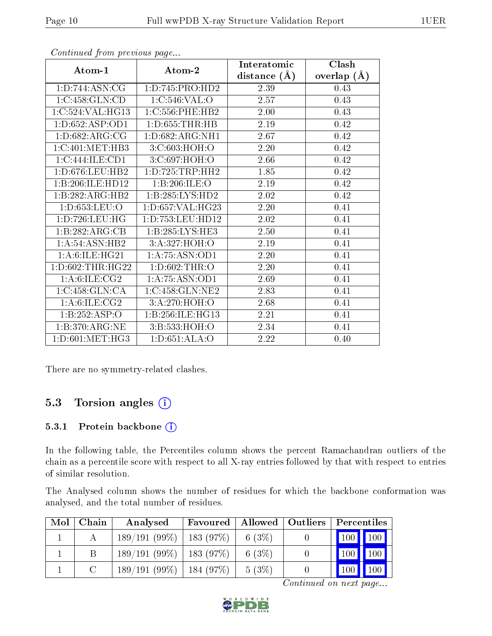|                     |                     | Interatomic    | Clash         |
|---------------------|---------------------|----------------|---------------|
| Atom-1              | Atom-2              | distance $(A)$ | overlap $(A)$ |
| 1:D:744:ASN:CG      | 1: D: 745: PRO: HD2 | 2.39           | 0.43          |
| 1:C:458:GLN:CD      | 1:C:546:VAL:O       | 2.57           | 0.43          |
| 1:C:524:VAL:HG13    | 1:C:556:PHE:HB2     | 2.00           | 0.43          |
| 1: D: 652: ASP: OD1 | 1: D: 655: THR: HB  | 2.19           | 0.42          |
| 1: D:682: ARG: CG   | 1: D: 682: ARG: NH1 | 2.67           | 0.42          |
| 1:C:401:MET:HB3     | 3:C:603:HOH:O       | 2.20           | 0.42          |
| 1:C:444:ILE:CD1     | 3:C:697:HOH:O       | 2.66           | 0.42          |
| 1:D:676:LEU:HB2     | 1: D: 725: TRP: HH2 | 1.85           | 0.42          |
| 1:B:206:ILE:HD12    | 1:B:206:ILE:O       | 2.19           | 0.42          |
| 1:B:282:ARG:HB2     | 1:B:285:LYS:HD2     | 2.02           | 0.42          |
| 1: D: 653: LEU: O   | 1: D: 657: VAL:HG23 | 2.20           | 0.41          |
| 1:D:726:LEU:HG      | 1:D:753:LEU:HD12    | 2.02           | 0.41          |
| 1:B:282:ARG:CB      | 1: B: 285: LYS: HE3 | 2.50           | 0.41          |
| 1: A:54:ASN:HB2     | 3:A:327:HOH:O       | 2.19           | 0.41          |
| 1: A:6: ILE: HG21   | 1:A:75:ASN:OD1      | 2.20           | 0.41          |
| 1: D:602:THR:HG22   | 1:D:602:THR:O       | 2.20           | 0.41          |
| 1: A:6: ILE: CG2    | 1: A:75: ASN:OD1    | 2.69           | 0.41          |
| 1:C:458:GLN:CA      | 1:C:458:GLN:NE2     | 2.83           | 0.41          |
| 1: A:6: ILE: CG2    | 3:A:270:HOH:O       | 2.68           | 0.41          |
| 1:B:252:ASP:O       | 1:B:256:ILE:HG13    | 2.21           | 0.41          |
| 1:B:370:ARG:NE      | 3:B:533:HOH:O       | 2.34           | 0.41          |
| 1: D:601: MET:HG3   | 1: D:651: ALA:O     | 2.22           | 0.40          |

Continued from previous page...

There are no symmetry-related clashes.

#### 5.3 Torsion angles (i)

#### 5.3.1 Protein backbone (i)

In the following table, the Percentiles column shows the percent Ramachandran outliers of the chain as a percentile score with respect to all X-ray entries followed by that with respect to entries of similar resolution.

The Analysed column shows the number of residues for which the backbone conformation was analysed, and the total number of residues.

| Mol | Chain | Analysed                     | Favoured | Allowed   Outliers | Percentiles                |                    |
|-----|-------|------------------------------|----------|--------------------|----------------------------|--------------------|
|     |       | $189/191(99\%)$   183 (97\%) |          | $6(3\%)$           | 100 100                    |                    |
|     |       | $189/191(99\%)$   183 (97\%) |          | 6 $(3%)$           | 100                        | $\blacksquare$ 100 |
|     |       | $189/191(99\%)$   184 (97\%) |          | $5(3\%)$           | $^{\prime}$ 100 $_{\rm I}$ | 100                |

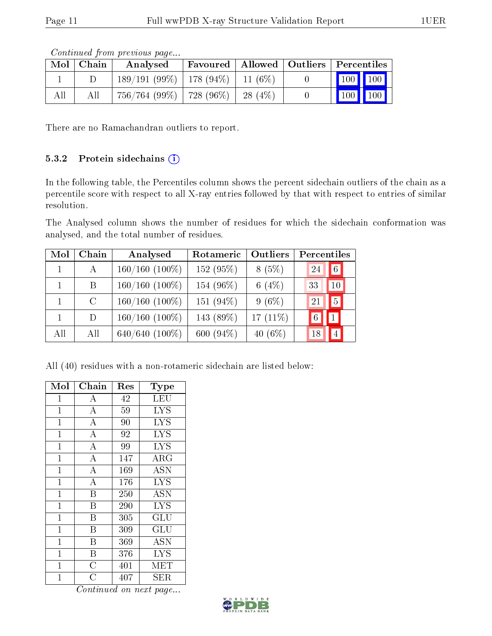|     | $Mol$   Chain | contentable provisions pagoni<br>Analysed |            | Favoured   Allowed   Outliers   Percentiles |
|-----|---------------|-------------------------------------------|------------|---------------------------------------------|
|     |               | $189/191(99\%)$   178 (94\%)   11 (6\%)   |            |                                             |
| All | All           | $756/764$ (99\%)   728 (96\%)             | $-28(4\%)$ | 100 100                                     |

Continued from previous page...

There are no Ramachandran outliers to report.

#### 5.3.2 Protein sidechains  $(i)$

In the following table, the Percentiles column shows the percent sidechain outliers of the chain as a percentile score with respect to all X-ray entries followed by that with respect to entries of similar resolution.

The Analysed column shows the number of residues for which the sidechain conformation was analysed, and the total number of residues.

| Mol | Chain   | Analysed            | Rotameric | Outliers    | Percentiles      |
|-----|---------|---------------------|-----------|-------------|------------------|
|     | A       | $160/160$ $(100\%)$ | 152 (95%) | 8(5%)       | 6 <br>24         |
|     | B.      | $160/160$ (100%)    | 154 (96%) | 6 $(4%)$    | 33<br>10         |
|     | $\rm C$ | $160/160(100\%)$    | 151 (94%) | $9(6\%)$    | $\sqrt{5}$<br>21 |
|     | D.      | $160/160$ (100%)    | 143 (89%) | 17 $(11\%)$ | $\mathbf{1}$     |
| All | All     | 640/640 $(100\%)$   | 600 (94%) | 40 $(6\%)$  | $\vert 4 \vert$  |

All (40) residues with a non-rotameric sidechain are listed below:

| Mol            | Chain                   | Res | Type                                    |
|----------------|-------------------------|-----|-----------------------------------------|
| 1              | А                       | 42  | LEU                                     |
| $\mathbf 1$    | $\bf{A}$                | 59  | <b>LYS</b>                              |
| $\mathbf{1}$   | $\overline{\rm A}$      | 90  | $\overline{\text{L} \text{Y}} \text{S}$ |
| $\mathbf{1}$   | $\overline{A}$          | 92  | <b>LYS</b>                              |
| $\mathbf{1}$   | $\overline{A}$          | 99  | <b>LYS</b>                              |
| $\overline{1}$ | $\overline{A}$          | 147 | $\rm \overline{A}RG$                    |
| $\mathbf{1}$   | $\overline{A}$          | 169 | <b>ASN</b>                              |
| $\mathbf{1}$   | $\overline{\rm A}$      | 176 | <b>LYS</b>                              |
| $\mathbf{1}$   | B                       | 250 | <b>ASN</b>                              |
| $\overline{1}$ | B                       | 290 | <b>LYS</b>                              |
| $\mathbf{1}$   | $\overline{\mathbf{B}}$ | 305 | GLU                                     |
| $\mathbf 1$    | B                       | 309 | GLU                                     |
| $\overline{1}$ | Β                       | 369 | ASN                                     |
| $\mathbf{1}$   | B                       | 376 | <b>LYS</b>                              |
| $\mathbf{1}$   | $\overline{\rm C}$      | 401 | $ME\overline{T}$                        |
| $\overline{1}$ | $\overline{C}$          | 407 | SER                                     |

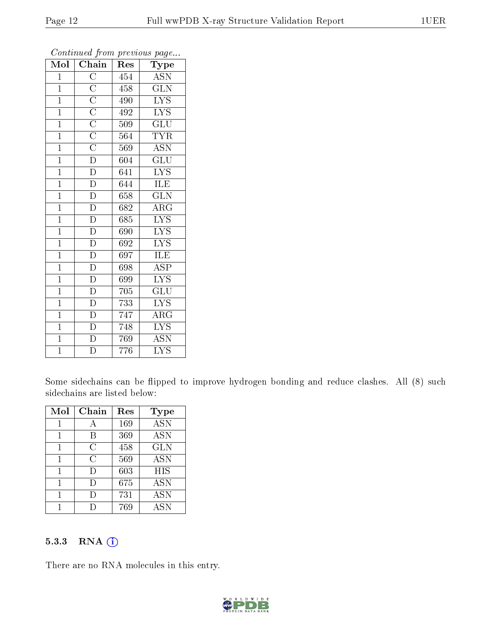| Mol            | $\overline{\mathrm{Chain}}$                                                                                                                                                                              | Res              | Type                      |
|----------------|----------------------------------------------------------------------------------------------------------------------------------------------------------------------------------------------------------|------------------|---------------------------|
| $\mathbf 1$    |                                                                                                                                                                                                          | 454              | <b>ASN</b>                |
| $\mathbf{1}$   |                                                                                                                                                                                                          | 458              | $\overline{\text{GLN}}$   |
| $\overline{1}$ |                                                                                                                                                                                                          | 490              | $\overline{\text{LYS}}$   |
| $\overline{1}$ |                                                                                                                                                                                                          | 492              | $\overline{\text{LYS}}$   |
| $\overline{1}$ |                                                                                                                                                                                                          | 509              | $\overline{{\rm GLU}}$    |
| $\overline{1}$ |                                                                                                                                                                                                          | 564              | <b>TYR</b>                |
| $\overline{1}$ |                                                                                                                                                                                                          | 569              | $\overline{\text{ASN}}$   |
| $\overline{1}$ | $\frac{\overline{C}}{\overline{C}}\frac{\overline{C}}{\overline{C}}\frac{\overline{C}}{\overline{C}}\frac{\overline{C}}{\overline{D}}\frac{\overline{D}}{\overline{D}}\frac{\overline{D}}{\overline{D}}$ | 604              | $\overline{\text{GLU}}$   |
| $\overline{1}$ |                                                                                                                                                                                                          | 641              | $\overline{\text{LYS}}$   |
| $\overline{1}$ |                                                                                                                                                                                                          | $\overline{644}$ | ILE                       |
| $\mathbf{1}$   |                                                                                                                                                                                                          | 658              | $\overline{\text{GLN}}$   |
| $\overline{1}$ | $\overline{D}$                                                                                                                                                                                           | 682              | $\overline{\rm{ARG}}$     |
| $\mathbf{1}$   | $\overline{D}$                                                                                                                                                                                           | 685              | $\overline{\text{LYS}}$   |
| $\mathbf{1}$   | $\overline{D}$                                                                                                                                                                                           | 690              | $\overline{\text{LYS}}$   |
| $\overline{1}$ | $\overline{D}$                                                                                                                                                                                           | 692              | $\overline{\text{LYS}}$   |
| $\overline{1}$ | $\overline{D}$                                                                                                                                                                                           | 697              | ILE                       |
| $\overline{1}$ | $\overline{D}$                                                                                                                                                                                           | 698              | $\overline{\text{ASP}}$   |
| $\overline{1}$ | $\overline{D}$                                                                                                                                                                                           | 699              | $\overline{\text{LYS}}$   |
| $\mathbf{1}$   | $\overline{D}$                                                                                                                                                                                           | 705              | $\overline{\text{GLU}}$   |
| $\overline{1}$ | $\frac{1}{\overline{D}}$                                                                                                                                                                                 | 733              | <b>LYS</b>                |
| $\mathbf{1}$   | $\frac{\overline{D}}{D}$                                                                                                                                                                                 | 747              | $\rm{ARG}$                |
| $\overline{1}$ |                                                                                                                                                                                                          | 748              | $\overline{\mathrm{LYS}}$ |
| $\mathbf{1}$   | $\frac{\overline{D}}{D}$                                                                                                                                                                                 | 769              | ASN                       |
| $\overline{1}$ |                                                                                                                                                                                                          | 776              | $\overline{\mathrm{LYS}}$ |

Continued from previous page...

Some sidechains can be flipped to improve hydrogen bonding and reduce clashes. All (8) such sidechains are listed below:

| Mol | Chain  | Res | Type                      |
|-----|--------|-----|---------------------------|
|     | А      | 169 | <b>ASN</b>                |
|     | R      | 369 | <b>ASN</b>                |
| 1   | С      | 458 | <b>GLN</b>                |
| 1   | C      | 569 | <b>ASN</b>                |
| 1   | $\Box$ | 603 | $\overline{H}$ IS         |
| 1   | $\Box$ | 675 | <b>ASN</b>                |
|     |        | 731 | $\overline{\mathrm{ASN}}$ |
|     |        | 769 | <b>ASN</b>                |

#### 5.3.3 RNA [O](https://www.wwpdb.org/validation/2017/XrayValidationReportHelp#rna)i

There are no RNA molecules in this entry.

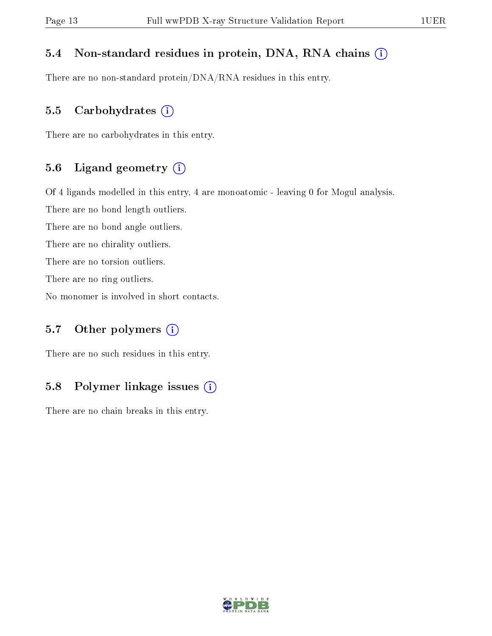#### 5.4 Non-standard residues in protein, DNA, RNA chains (i)

There are no non-standard protein/DNA/RNA residues in this entry.

#### 5.5 Carbohydrates  $(i)$

There are no carbohydrates in this entry.

#### 5.6 Ligand geometry (i)

Of 4 ligands modelled in this entry, 4 are monoatomic - leaving 0 for Mogul analysis.

There are no bond length outliers.

There are no bond angle outliers.

There are no chirality outliers.

There are no torsion outliers.

There are no ring outliers.

No monomer is involved in short contacts.

#### 5.7 [O](https://www.wwpdb.org/validation/2017/XrayValidationReportHelp#nonstandard_residues_and_ligands)ther polymers  $(i)$

There are no such residues in this entry.

#### 5.8 Polymer linkage issues  $(i)$

There are no chain breaks in this entry.